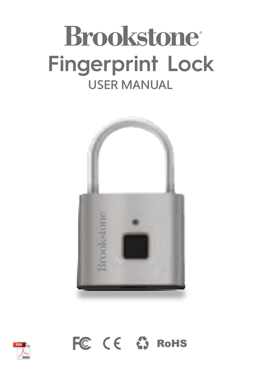# **Brookstone Fingerprint Lock**USER MANUAL



FC CE & RoHS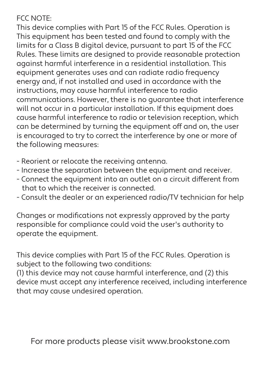#### FCC NOTE:

This device complies with Part 15 of the FCC Rules. Operation is This equipment has been tested and found to comply with the limits for a Class B digital device, pursuant to part 15 of the FCC Rules. These limits are designed to provide reasonable protection against harmful interference in a residential installation. This equipment generates uses and can radiate radio frequency energy and, if not installed and used in accordance with the instructions, may cause harmful interference to radio communications. However, there is no guarantee that interference will not occur in a particular installation. If this equipment does cause harmful interference to radio or television reception, which can be determined by turning the equipment off and on, the user is encouraged to try to correct the interference by one or more of the following measures:

- Reorient or relocate the receiving antenna.
- Increase the separation between the equipment and receiver.
- Connect the equipment into an outlet on a circuit different from that to which the receiver is connected.
- Consult the dealer or an experienced radio/TV technician for help

Changes or modifications not expressly approved by the party responsible for compliance could void the user's authority to operate the equipment.

This device complies with Part 15 of the FCC Rules. Operation is subject to the following two conditions:

(1) this device may not cause harmful interference, and (2) this device must accept any interference received, including interference that may cause undesired operation.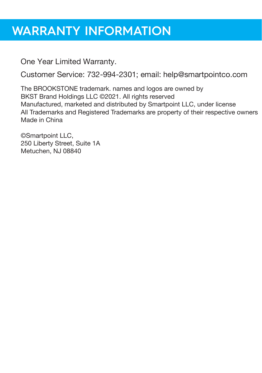### **WARRANTY INFORMATION**

One Year Limited Warranty.

Customer Service: 732-994-2301; email: help@smartpointco.com

The BROOKSTONE trademark. names and logos are owned by BKST Brand Holdings LLC ©2021. All rights reserved Manufactured, marketed and distributed by Smartpoint LLC, under license All Trademarks and Registered Trademarks are property of their respective owners Made in China

©Smartpoint LLC, 250 Liberty Street, Suite 1A Metuchen, NJ 08840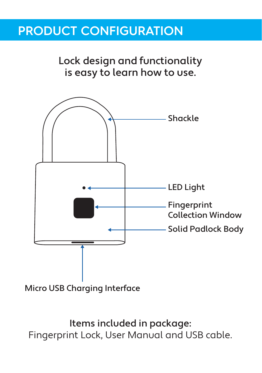### **PRODUCT CONFIGURATION**



Micro USB Charging Interface

Items included in package: Fingerprint Lock, User Manual and USB cable.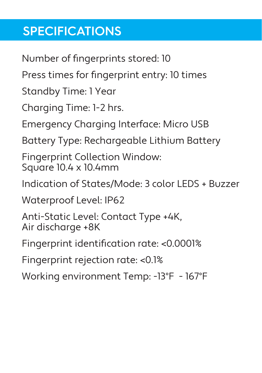# **SPECIFICATIONS**

Number of fingerprints stored: 10 Press times for fingerprint entry: 10 times Standby Time: 1 Year Charging Time: 1-2 hrs. Emergency Charging Interface: Micro USB Battery Type: Rechargeable Lithium Battery Fingerprint Collection Window: Square 10.4 x 10.4mm Indication of States/Mode: 3 color LEDS + Buzzer Waterproof Level: IP62 Anti-Static Level: Contact Type +4K, Air discharge +8K Fingerprint identification rate: <0.0001% Fingerprint rejection rate: <0.1% Working environment Temp: -13°F - 167°F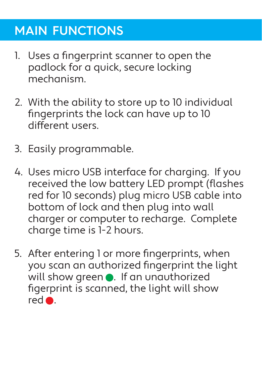# **MAIN FUNCTIONS**

- 1. Uses a fingerprint scanner to open the padlock for a quick, secure locking mechanism.
- 2. With the ability to store up to 10 individual fingerprints the lock can have up to 10 different users.
- 3. Easily programmable.
- 4. Uses micro USB interface for charging. If you received the low battery LED prompt (flashes red for 10 seconds) plug micro USB cable into bottom of lock and then plug into wall charger or computer to recharge. Complete charge time is 1-2 hours.
- 5. After entering 1 or more fingerprints, when you scan an authorized fingerprint the light will show green  $\bullet$ . If an unauthorized figerprint is scanned, the light will show red .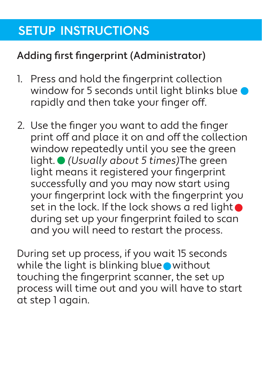# **SETUP INSTRUCTIONS**

#### Adding first fingerprint (Administrator)

- 1. Press and hold the fingerprint collection window for 5 seconds until light blinks blue rapidly and then take your finger off.
- 2. Use the finger you want to add the finger print off and place it on and off the collection window repeatedly until you see the green light.  $\bigcirc$  (Usually about 5 times) The green light means it registered your fingerprint successfully and you may now start using your fingerprint lock with the fingerprint you set in the lock. If the lock shows a red light  $\bullet$  during set up your fingerprint failed to scan and you will need to restart the process.

During set up process, if you wait 15 seconds while the light is blinking blue without touching the fingerprint scanner, the set up process will time out and you will have to start at step 1 again.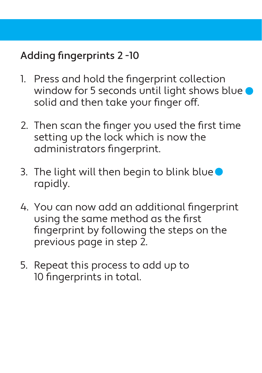#### Adding fingerprints 2 -10

- 1. Press and hold the fingerprint collection window for 5 seconds until light shows blue solid and then take your finger off.
- 2. Then scan the finger you used the first time setting up the lock which is now the administrators fingerprint.
- 3. The light will then begin to blink blue  $\bullet$ rapidly.
- 4. You can now add an additional fingerprint using the same method as the first fingerprint by following the steps on the previous page in step 2.
- 5. Repeat this process to add up to 10 fingerprints in total.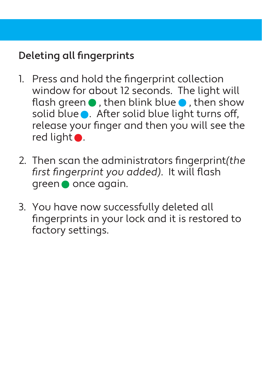#### Deleting all fingerprints

- 1. Press and hold the fingerprint collection window for about 12 seconds. The light will flash green  $\bullet$  , then blink blue  $\bullet$  , then show solid blue . After solid blue light turns off, release your finger and then you will see the red light $\bullet$ .
- 2. Then scan the administrators fingerprint(the first fingerprint you added). It will flash green **o** once again.
- 3. You have now successfully deleted all fingerprints in your lock and it is restored to factory settings.